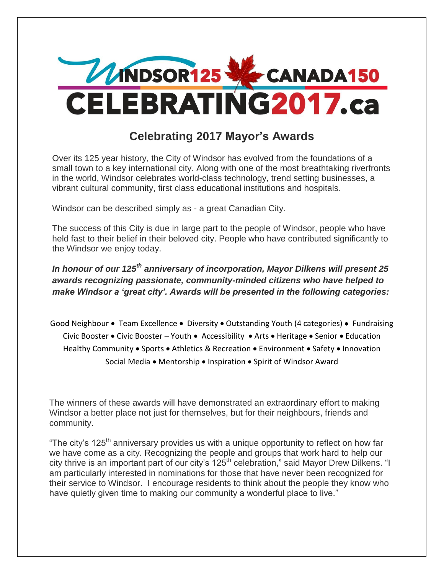

## **Celebrating 2017 Mayor's Awards**

Over its 125 year history, the City of Windsor has evolved from the foundations of a small town to a key international city. Along with one of the most breathtaking riverfronts in the world, Windsor celebrates world-class technology, trend setting businesses, a vibrant cultural community, first class educational institutions and hospitals.

Windsor can be described simply as - a great Canadian City.

The success of this City is due in large part to the people of Windsor, people who have held fast to their belief in their beloved city. People who have contributed significantly to the Windsor we enjoy today.

*In honour of our 125th anniversary of incorporation, Mayor Dilkens will present 25 awards recognizing passionate, community-minded citizens who have helped to make Windsor a 'great city'. Awards will be presented in the following categories:*

Good Neighbour • Team Excellence • Diversity • Outstanding Youth (4 categories) • Fundraising Civic Booster • Civic Booster – Youth • Accessibility • Arts • Heritage • Senior • Education Healthy Community  $\bullet$  Sports  $\bullet$  Athletics & Recreation  $\bullet$  Environment  $\bullet$  Safety  $\bullet$  Innovation Social Media • Mentorship • Inspiration • Spirit of Windsor Award

The winners of these awards will have demonstrated an extraordinary effort to making Windsor a better place not just for themselves, but for their neighbours, friends and community.

"The city's 125<sup>th</sup> anniversary provides us with a unique opportunity to reflect on how far we have come as a city. Recognizing the people and groups that work hard to help our city thrive is an important part of our city's 125<sup>th</sup> celebration," said Mayor Drew Dilkens. "I am particularly interested in nominations for those that have never been recognized for their service to Windsor. I encourage residents to think about the people they know who have quietly given time to making our community a wonderful place to live."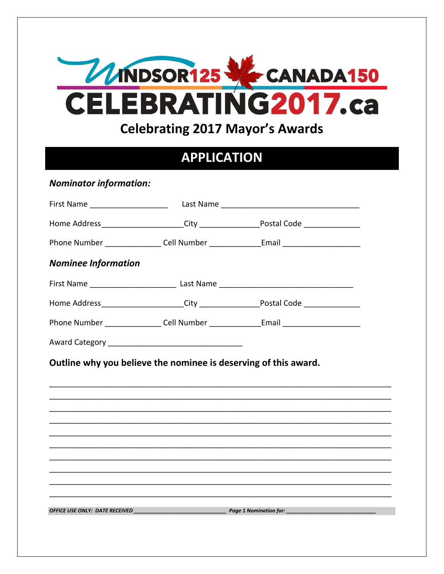

## **APPLICATION**

**Nominator information:** 

|                                                                 | Home Address______________________City __________________Postal Code ____________                    |
|-----------------------------------------------------------------|------------------------------------------------------------------------------------------------------|
|                                                                 | Phone Number ___________________Cell Number _________________Email _________________________________ |
| <b>Nominee Information</b>                                      |                                                                                                      |
|                                                                 |                                                                                                      |
|                                                                 | Home Address_______________________City ___________________Postal Code ________________              |
|                                                                 | Phone Number ___________________Cell Number ________________Email _______________                    |
|                                                                 |                                                                                                      |
| Outline why you believe the nominee is deserving of this award. |                                                                                                      |
|                                                                 |                                                                                                      |
|                                                                 |                                                                                                      |
|                                                                 |                                                                                                      |
|                                                                 |                                                                                                      |
|                                                                 |                                                                                                      |
|                                                                 |                                                                                                      |
|                                                                 |                                                                                                      |
|                                                                 |                                                                                                      |